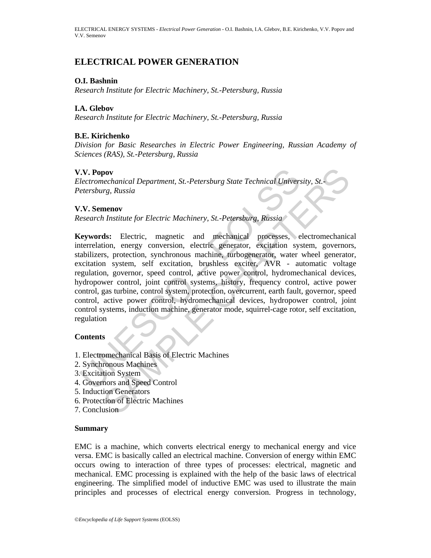# **ELECTRICAL POWER GENERATION**

### **O.I. Bashnin**

*Research Institute for Electric Machinery, St.-Petersburg, Russia* 

## **I.A. Glebov**

*Research Institute for Electric Machinery, St.-Petersburg, Russia* 

### **B.E. Kirichenko**

*Division for Basic Researches in Electric Power Engineering, Russian Academy of Sciences (RAS), St.-Petersburg, Russia* 

### **V.V. Popov**

*Electromechanical Department, St.-Petersburg State Technical University, St.- Petersburg, Russia* 

### **V.V. Semenov**

*Research Institute for Electric Machinery, St.-Petersburg, Russia* 

Tremechanical Department, St.-Petersburg State Technical Universetersburg, Russia<br>
Electromechanical Department, St.-Petersburg, Russia<br>
UN. Semenov<br>
Exersburg, Russia<br>
Electric, magnetic and mechanical processes,<br>
electri **SAMPLE CONSERVANT SECTIVES SERVE AN SERVE AN SERVE AN SERVEN SERVEN SERVED SERVED SERVED SERVED SERVED SERVED SERVED SERVED SERVED SERVED SERVED SERVED SERVED SERVED SUPPORTED AN EXPLORENCE DETERMINIST SUPPORT SUPPORT SUP Keywords:** Electric, magnetic and mechanical processes, electromechanical interrelation, energy conversion, electric generator, excitation system, governors, stabilizers, protection, synchronous machine, turbogenerator, water wheel generator, excitation system, self excitation, brushless exciter, AVR - automatic voltage regulation, governor, speed control, active power control, hydromechanical devices, hydropower control, joint control systems, history, frequency control, active power control, gas turbine, control system, protection, overcurrent, earth fault, governor, speed control, active power control, hydromechanical devices, hydropower control, joint control systems, induction machine, generator mode, squirrel-cage rotor, self excitation, regulation

## **Contents**

- 1. Electromechanical Basis of Electric Machines
- 2. Synchronous Machines
- 3. Excitation System
- 4. Governors and Speed Control
- 5. Induction Generators
- 6. Protection of Electric Machines
- 7. Conclusion

#### **Summary**

EMC is a machine, which converts electrical energy to mechanical energy and vice versa. EMC is basically called an electrical machine. Conversion of energy within EMC occurs owing to interaction of three types of processes: electrical, magnetic and mechanical. EMC processing is explained with the help of the basic laws of electrical engineering. The simplified model of inductive EMC was used to illustrate the main principles and processes of electrical energy conversion. Progress in technology,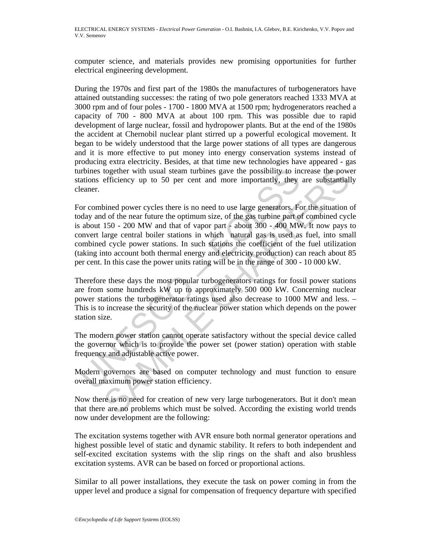computer science, and materials provides new promising opportunities for further electrical engineering development.

During the 1970s and first part of the 1980s the manufactures of turbogenerators have attained outstanding successes: the rating of two pole generators reached 1333 MVA at 3000 rpm and of four poles - 1700 - 1800 MVA at 1500 rpm; hydrogenerators reached a capacity of 700 - 800 MVA at about 100 rpm. This was possible due to rapid development of large nuclear, fossil and hydropower plants. But at the end of the 1980s the accident at Chernobil nuclear plant stirred up a powerful ecological movement. It began to be widely understood that the large power stations of all types are dangerous and it is more effective to put money into energy conservation systems instead of producing extra electricity. Besides, at that time new technologies have appeared - gas turbines together with usual steam turbines gave the possibility to increase the power stations efficiency up to 50 per cent and more importantly, they are substantially cleaner.

arbines together with usual steam turbines gave the possibility to in<br>ations efficiency up to 50 per cent and more importantly, they<br>ceaner.<br>Or combined power cycles there is no need to use large generators. For<br>day and of together with usual steam turbines gave the possibility to increase the power<br>efficiency up to 50 per cent and more importantly, they are substantial<br>bined power cycles there is no need to use large generators. For the sit For combined power cycles there is no need to use large generators. For the situation of today and of the near future the optimum size, of the gas turbine part of combined cycle is about 150 - 200 MW and that of vapor part - about 300 - 400 MW. It now pays to convert large central boiler stations in which natural gas is used as fuel, into small combined cycle power stations. In such stations the coefficient of the fuel utilization (taking into account both thermal energy and electricity production) can reach about 85 per cent. In this case the power units rating will be in the range of 300 - 10 000 kW.

Therefore these days the most popular turbogenerators ratings for fossil power stations are from some hundreds kW up to approximately 500 000 kW. Concerning nuclear power stations the turbogenerator ratings used also decrease to 1000 MW and less. – This is to increase the security of the nuclear power station which depends on the power station size.

The modern power station cannot operate satisfactory without the special device called the governor which is to provide the power set (power station) operation with stable frequency and adjustable active power.

Modern governors are based on computer technology and must function to ensure overall maximum power station efficiency.

Now there is no need for creation of new very large turbogenerators. But it don't mean that there are no problems which must be solved. According the existing world trends now under development are the following:

The excitation systems together with AVR ensure both normal generator operations and highest possible level of static and dynamic stability. It refers to both independent and self-excited excitation systems with the slip rings on the shaft and also brushless excitation systems. AVR can be based on forced or proportional actions.

Similar to all power installations, they execute the task on power coming in from the upper level and produce a signal for compensation of frequency departure with specified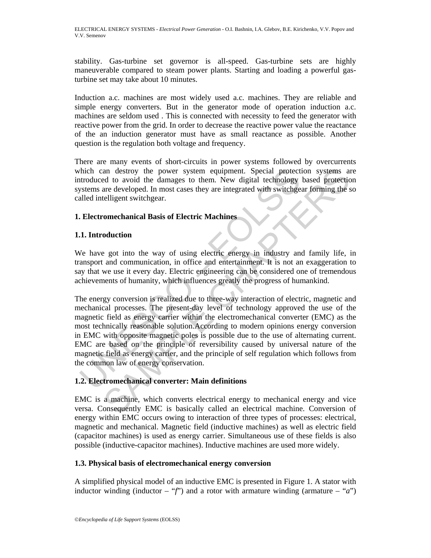stability. Gas-turbine set governor is all-speed. Gas-turbine sets are highly maneuverable compared to steam power plants. Starting and loading a powerful gasturbine set may take about 10 minutes.

Induction a.c. machines are most widely used a.c. machines. They are reliable and simple energy converters. But in the generator mode of operation induction a.c. machines are seldom used . This is connected with necessity to feed the generator with reactive power from the grid. In order to decrease the reactive power value the reactance of the an induction generator must have as small reactance as possible. Another question is the regulation both voltage and frequency.

There are many events of short-circuits in power systems followed by overcurrents which can destroy the power system equipment. Special protection systems are introduced to avoid the damages to them. New digital technology based protection systems are developed. In most cases they are integrated with switchgear forming the so called intelligent switchgear.

## **1. Electromechanical Basis of Electric Machines**

## **1.1. Introduction**

We have got into the way of using electric energy in industry and family life, in transport and communication, in office and entertainment. It is not an exaggeration to say that we use it every day. Electric engineering can be considered one of tremendous achievements of humanity, which influences greatly the progress of humankind.

This characteristics and the power system equipment. Special protect<br>troduced to avoid the damages to them. New digital technology<br>systems are developed. In most cases they are integrated with switchge<br>alled intelligent sw an destroy the power system equipment. Special protection systems and to avoid the damages to them. New digital technology based protection<br>are developed. In most cases they are integrated with switchgear forming the selle The energy conversion is realized due to three-way interaction of electric, magnetic and mechanical processes. The present-day level of technology approved the use of the magnetic field as energy carrier within the electromechanical converter (EMC) as the most technically reasonable solution.According to modern opinions energy conversion in EMC with opposite magnetic poles is possible due to the use of alternating current. EMC are based on the principle of reversibility caused by universal nature of the magnetic field as energy carrier, and the principle of self regulation which follows from the common law of energy conservation.

## **1.2. Electromechanical converter: Main definitions**

EMC is a machine, which converts electrical energy to mechanical energy and vice versa. Consequently EMC is basically called an electrical machine. Conversion of energy within EMC occurs owing to interaction of three types of processes: electrical, magnetic and mechanical. Magnetic field (inductive machines) as well as electric field (capacitor machines) is used as energy carrier. Simultaneous use of these fields is also possible (inductive-capacitor machines). Inductive machines are used more widely.

## **1.3. Physical basis of electromechanical energy conversion**

A simplified physical model of an inductive EMC is presented in Figure 1. A stator with inductor winding (inductor – " $f'$ ") and a rotor with armature winding (armature – "*a*")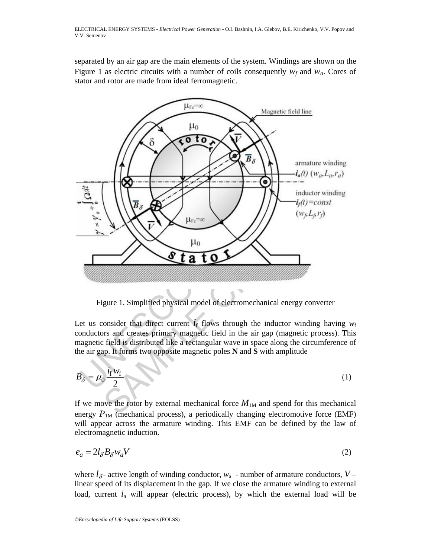separated by an air gap are the main elements of the system. Windings are shown on the Figure 1 as electric circuits with a number of coils consequently  $w_f$  and  $w_g$ . Cores of stator and rotor are made from ideal ferromagnetic.



Figure 1. Simplified physical model of electromechanical energy converter

Let us consider that direct current  $\vec{i}_f$  flows through the inductor winding having  $w_f$ conductors and creates primary magnetic field in the air gap (magnetic process). This magnetic field is distributed like a rectangular wave in space along the circumference of the air gap. It forms two opposite magnetic poles **N** and **S** with amplitude

$$
B_{\delta} = \mu_0 \frac{i_{\rm f} w_{\rm f}}{2} \tag{1}
$$

If we move the rotor by external mechanical force  $M_{1M}$  and spend for this mechanical energy  $P_{1M}$  (mechanical process), a periodically changing electromotive force (EMF) will appear across the armature winding. This EMF can be defined by the law of electromagnetic induction.

$$
e_a = 2l_\delta B_\delta w_a V \tag{2}
$$

where  $l_{\delta}$ - active length of winding conductor,  $w_a$  - number of armature conductors,  $V$ linear speed of its displacement in the gap. If we close the armature winding to external load, current  $i_a$  will appear (electric process), by which the external load will be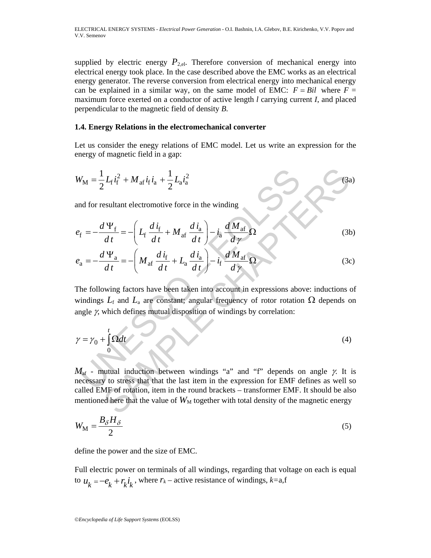supplied by electric energy  $P_{2,el}$ . Therefore conversion of mechanical energy into electrical energy took place. In the case described above the EMC works as an electrical energy generator. The reverse conversion from electrical energy into mechanical energy can be explained in a similar way, on the same model of EMC:  $F = Bil$  where  $F =$ maximum force exerted on a conductor of active length *l* carrying current *I*, and placed perpendicular to the magnetic field of density *B*.

### **1.4. Energy Relations in the electromechanical converter**

Let us consider the enegy relations of EMC model. Let us write an expression for the energy of magnetic field in a gap:

$$
W_{\rm M} = \frac{1}{2} L_{\rm f} i_{\rm f}^2 + M_{\rm af} i_{\rm f} i_{\rm a} + \frac{1}{2} L_{\rm a} i_{\rm a}^2
$$
 (3a)

and for resultant electromotive force in the winding

$$
e_{\rm f} = -\frac{d\Psi_{\rm f}}{dt} = -\left(L_{\rm f}\frac{d\dot{\iota}_{\rm f}}{dt} + M_{\rm af}\frac{d\dot{\iota}_{\rm a}}{dt}\right) - \dot{\iota}_{\rm a}\frac{dM_{\rm af}}{d\gamma}\Omega\tag{3b}
$$

$$
e_{\rm a} = -\frac{d\Psi_{\rm a}}{dt} = -\left(M_{\rm af}\frac{di_{\rm f}}{dt} + L_{\rm a}\frac{di_{\rm a}}{dt}\right) - i_{\rm f}\frac{dM_{\rm af}}{d\gamma}\Omega\tag{3c}
$$

 $W_M = \frac{1}{2} L_f \dot{i}_f^2 + M_{\text{af}} \dot{i}_f \dot{i}_a + \frac{1}{2} L_{\text{af}} \dot{i}_a^2$ <br>
and for resultant electromotive force in the winding<br>  $V_f = -\frac{d V_f}{dt} = -\left( L_f \frac{d i_f}{dt} + M_{\text{af}} \frac{d i_a}{dt} \right) - i_a \frac{d M_{\text{af}}}{d \gamma} \Omega$ <br>  $V_a = -\frac{d V_a}{dt} = -\left( M_{\text{af}} \frac{d$ The following factors have been taken into account in expressions above: inductions of windings  $L_f$  and  $L_a$  are constant; angular frequency of rotor rotation  $\Omega$  depends on angle  $\gamma$ , which defines mutual disposition of windings by correlation:

$$
\gamma = \gamma_0 + \int_0^t \Omega dt \tag{4}
$$

 $\frac{1}{2}L_f i_f^2 + M_{\text{af}} i_f i_a + \frac{1}{2}L_{\text{a}} i_a^2$ <br>
esultant electromotive force in the winding<br>  $\frac{I\Psi_f}{dt} = -\left(L_f \frac{di_f}{dt} + M_{\text{af}} \frac{di_a}{dt}\right) - i_{\text{a}} \frac{dM_{\text{af}}}{dy} \Omega$  (3th<br>  $\frac{I\Psi_a}{dt} = -\left(M_{\text{af}} \frac{di_f}{dt} + L_{\text{a}} \frac{di_a}{dt}\right) - i_f \frac$  $M_{\text{af}}$  - mutual induction between windings "a" and "f" depends on angle  $\gamma$ . It is necessary to stress that that the last item in the expression for EMF defines as well so called EMF of rotation, item in the round brackets – transformer EMF. It should be also mentioned here that the value of  $W_M$  together with total density of the magnetic energy

$$
W_{\rm M} = \frac{B_{\delta} H_{\delta}}{2} \tag{5}
$$

define the power and the size of EMC.

Full electric power on terminals of all windings, regarding that voltage on each is equal to  $u_k = -e_k + r_k i_k$ , where  $r_k$  – active resistance of windings,  $k=$ a,f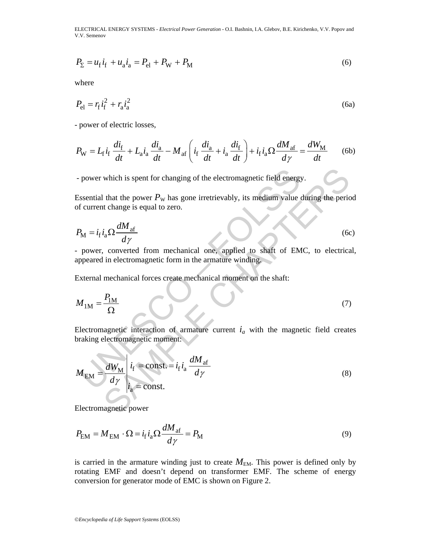$$
P_{\Sigma} = u_{\rm f} i_{\rm f} + u_{\rm a} i_{\rm a} = P_{\rm el} + P_{\rm W} + P_{\rm M} \tag{6}
$$

where

$$
P_{\rm el} = r_{\rm f} i_{\rm f}^2 + r_{\rm a} i_{\rm a}^2 \tag{6a}
$$

- power of electric losses,

$$
P_{\rm W} = L_{\rm f} i_{\rm f} \frac{di_{\rm f}}{dt} + L_{\rm a} i_{\rm a} \frac{di_{\rm a}}{dt} - M_{\rm af} \left( i_{\rm f} \frac{di_{\rm a}}{dt} + i_{\rm a} \frac{di_{\rm f}}{dt} \right) + i_{\rm f} i_{\rm a} \Omega \frac{dM_{\rm af}}{dy} = \frac{dW_{\rm M}}{dt} \tag{6b}
$$

- power which is spent for changing of the electromagnetic field energy.

Essential that the power  $P_W$  has gone irretrievably, its medium value during the period of current change is equal to zero.

$$
P_{\rm M} = i_{\rm f} i_{\rm a} \Omega \frac{dM_{\rm af}}{dy} \tag{6c}
$$

- power, converted from mechanical one, applied to shaft of EMC, to electrical, appeared in electromagnetic form in the armature winding.

External mechanical forces create mechanical moment on the shaft:

$$
M_{1M} = \frac{P_{1M}}{\Omega} \tag{7}
$$

Electromagnetic interaction of armature current  $i_a$  with the magnetic field creates braking electromagnetic moment:

\n - power which is spent for changing of the electromagnetic field energy.\n

\n\n Essential that the power 
$$
P_W
$$
 has gone irretrievably, its medium value during the period of current change is equal to zero.\n

\n\n
$$
P_M = i_f i_a \Omega \frac{dM_{af}}{dy}
$$
\n

\n\n - power, converted from mechanical one, applied to shaft of EMC, to electrical appeared in electromagnetic form in the armature winding.\n

\n\n External mechanical forces create mechanical moment on the shaft:\n

\n\n
$$
M_{1M} = \frac{P_{1M}}{\Omega}
$$
\n

\n\n Electromagnetic interaction of armature current  $i_a$  with the magnetic field create braking electromagnetic moment:\n

\n\n
$$
M_{EM} = \frac{dW_M}{dy} \left| i_f = \text{const.} = i_f i_a \frac{dM_{af}}{dy} \right|
$$
\n

\n\n (8)\n

Electromagnetic power

$$
P_{\text{EM}} = M_{\text{EM}} \cdot \Omega = i_{\text{f}} i_{\text{a}} \Omega \frac{dM_{\text{af}}}{d\gamma} = P_{\text{M}}
$$
\n(9)

is carried in the armature winding just to create  $M_{EM}$ . This power is defined only by rotating EMF and doesn't depend on transformer EMF. The scheme of energy conversion for generator mode of EMC is shown on Figure 2.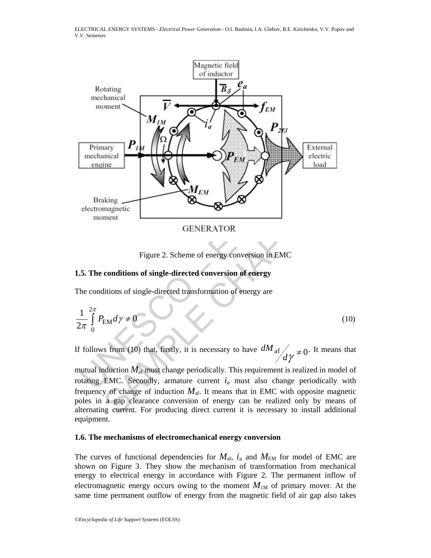

Figure 2. Scheme of energy conversion in EMC

## **1.5. The conditions of single-directed conversion of energy**

The conditions of single-directed transformation of energy are

$$
\frac{1}{2\pi} \int_{0}^{2\pi} P_{\text{EM}} d\gamma \neq 0 \tag{10}
$$

If follows from (10) that, firstly, it is necessary to have  $dM_{\text{af}}/d\gamma \neq 0$ . It means that

mutual induction  $M_{\text{af}}$  must change periodically. This requirement is realized in model of rotating EMC. Secondly, armature current  $i_a$  must also change periodically with frequency of change of induction  $M_{\text{af}}$ . It means that in EMC with opposite magnetic poles in a gap clearance conversion of energy can be realized only by means of alternating current. For producing direct current it is necessary to install additional equipment.

#### **1.6. The mechanisms of electromechanical energy conversion**

The curves of functional dependencies for  $M_{\text{af}}$ ,  $i_a$  and  $M_{\text{EM}}$  for model of EMC are shown on Figure 3. They show the mechanism of transformation from mechanical energy to electrical energy in accordance with Figure 2. The permanent inflow of electromagnetic energy occurs owing to the moment  $M_{1M}$  of primary mover. At the same time permanent outflow of energy from the magnetic field of air gap also takes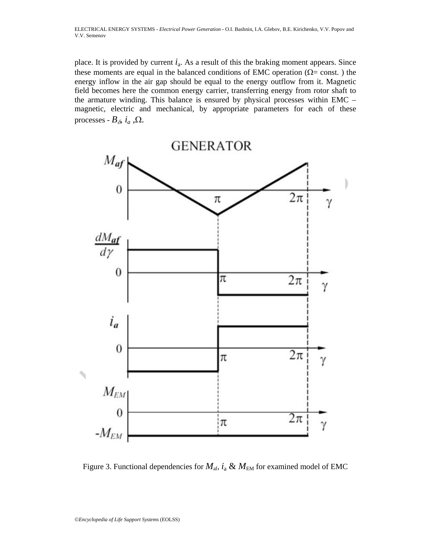place. It is provided by current  $i_a$ . As a result of this the braking moment appears. Since these moments are equal in the balanced conditions of EMC operation ( $\Omega$ = const.) the energy inflow in the air gap should be equal to the energy outflow from it. Magnetic field becomes here the common energy carrier, transferring energy from rotor shaft to the armature winding. This balance is ensured by physical processes within EMC – magnetic, electric and mechanical, by appropriate parameters for each of these processes -  $B_{\delta}$ ,  $i_a$ ,  $\Omega$ .



Figure 3. Functional dependencies for  $M_{\text{af}}$ ,  $i_{\text{a}} \& M_{\text{EM}}$  for examined model of EMC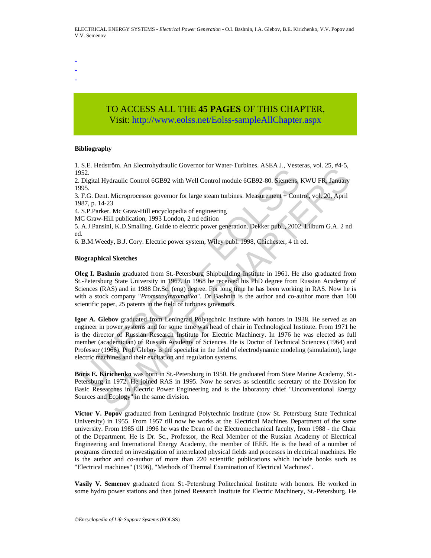- -

## -

# TO ACCESS ALL THE **45 PAGES** OF THIS CHAPTER, Visit[: http://www.eolss.net/Eolss-sampleAllChapter.aspx](https://www.eolss.net/ebooklib/sc_cart.aspx?File=E3-16-02)

#### **Bibliography**

1. S.E. Hedström. An Electrohydraulic Governor for Water-Turbines. ASEA J., Vesteras, vol. 25, #4*-*5, 1952.

2. Digital Hydraulic Control 6GB92 with Well Control module 6GB92-80. Siemens, KWU FR, January 1995.

3. F.G. Dent. Microprocessor governor for large steam turbines. Measurement + Control, vol. 20, April 1987, p. 14-23

4. S.P.Parker. Mc Graw-Hill encyclopedia of engineering

MC Graw-Hill publication, 1993 London, 2 nd edition

5. A.J.Pansini, K.D.Smalling. Guide to electric power generation. Dekker publ., 2002. Lilburn G.A. 2 nd ed.

6. B.M.Weedy, B.J. Cory. Electric power system, Wiley publ. 1998, Chichester, 4 th ed.

#### **Biographical Sketches**

**Oleg I. Bashnin** graduated from St.-Petersburg Shipbuilding Institute in 1961. He also graduated from St.-Petersburg State University in 1967. In 1968 he received his PhD degree from Russian Academy of Sciences (RAS) and in 1988 Dr.Sc. (eng) degree. For long time he has been working in RAS. Now he is with a stock company "*Promstrojavtomatika*". Dr Bashnin is the author and co-author more than 100 scientific paper, 25 patents in the field of turbines governors.

1952.<br>
1952.<br>
Digital Hydraulic Control 6GB92 with Well Control module 6GB92-80. Siemens,<br>
1963.<br>
1978. P. 0.123<br>
1978. P. 14-23<br>
1979. P. 14-23<br>
1979. P. 14-23<br>
1979. D. S.P. Parker. Mc Graw-Hill encyclopedia of engineeri SAGIN: The Lectoring Valuation Colember of Water Tubentes, NoEr On, Nextrick, NoEr 20, Neytralia, No. 20, April<br>
1Hydratic Control 6GB92 with Well Control module 6GB92-80. Siemens, KWU FR, January<br>
1.1. Microprocessor gove **Igor A. Glebov** graduated from Leningrad Polytechnic Institute with honors in 1938. He served as an engineer in power systems and for some time was head of chair in Technological Institute. From 1971 he is the director of Russian Research Institute for Electric Machinery. In 1976 he was elected as full member (academician) of Russian Academy of Sciences. He is Doctor of Technical Sciences (1964) and Professor (1966). Prof. Glebov is the specialist in the field of electrodynamic modeling (simulation), large electric machines and their excitation and regulation systems.

**Boris E. Kirichenko** was born in St.-Petersburg in 1950. He graduated from State Marine Academy, St.- Petersburg in 1972. He joined RAS in 1995. Now he serves as scientific secretary of the Division for Basic Researches in Electric Power Engineering and is the laboratory chief "Unconventional Energy Sources and Ecology" in the same division.

**Victor V. Popov** graduated from Leningrad Polytechnic Institute (now St. Petersburg State Technical University) in 1955. From 1957 till now he works at the Electrical Machines Department of the same university. From 1985 till 1996 he was the Dean of the Electromechanical faculty, from 1988 - the Chair of the Department. He is Dr. Sc., Professor, the Real Member of the Russian Academy of Electrical Engineering and International Energy Academy, the member of IEEE. He is the head of a number of programs directed on investigation of interrelated physical fields and processes in electrical machines. He is the author and co-author of more than 220 scientific publications which include books such as "Electrical machines" (1996), "Methods of Thermal Examination of Electrical Machines".

**Vasily V. Semenov** graduated from St.-Petersburg Politechnical Institute with honors. He worked in some hydro power stations and then joined Research Institute for Electric Machinery, St.-Petersburg. He